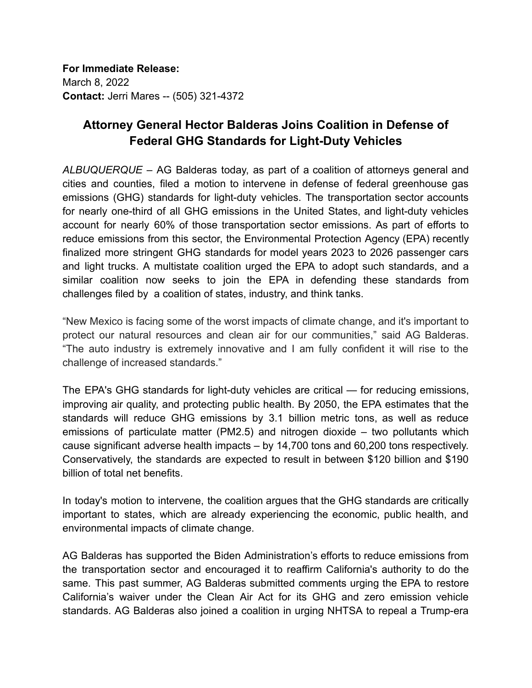**For Immediate Release:** March 8, 2022 **Contact:** Jerri Mares -- (505) 321-4372

## **Attorney General Hector Balderas Joins Coalition in Defense of Federal GHG Standards for Light-Duty Vehicles**

*ALBUQUERQUE* – AG Balderas today, as part of a coalition of attorneys general and cities and counties, filed a motion to intervene in defense of federal greenhouse gas emissions (GHG) standards for light-duty vehicles. The transportation sector accounts for nearly one-third of all GHG emissions in the United States, and light-duty vehicles account for nearly 60% of those transportation sector emissions. As part of efforts to reduce emissions from this sector, the Environmental Protection Agency (EPA) recently finalized more stringent GHG standards for model years 2023 to 2026 passenger cars and light trucks. A multistate coalition urged the EPA to adopt such standards, and a similar coalition now seeks to join the EPA in defending these standards from challenges filed by a coalition of states, industry, and think tanks.

"New Mexico is facing some of the worst impacts of climate change, and it's important to protect our natural resources and clean air for our communities," said AG Balderas. "The auto industry is extremely innovative and I am fully confident it will rise to the challenge of increased standards."

The EPA's GHG standards for light-duty vehicles are critical — for reducing emissions, improving air quality, and protecting public health. By 2050, the EPA estimates that the standards will reduce GHG emissions by 3.1 billion metric tons, as well as reduce emissions of particulate matter (PM2.5) and nitrogen dioxide – two pollutants which cause significant adverse health impacts – by 14,700 tons and 60,200 tons respectively. Conservatively, the standards are expected to result in between \$120 billion and \$190 billion of total net benefits.

In today's motion to intervene, the coalition argues that the GHG standards are critically important to states, which are already experiencing the economic, public health, and environmental impacts of climate change.

AG Balderas has supported the Biden Administration's efforts to reduce emissions from the transportation sector and encouraged it to reaffirm California's authority to do the same. This past summer, AG Balderas submitted comments urging the EPA to restore California's waiver under the Clean Air Act for its GHG and zero emission vehicle standards. AG Balderas also joined a coalition in urging NHTSA to repeal a Trump-era